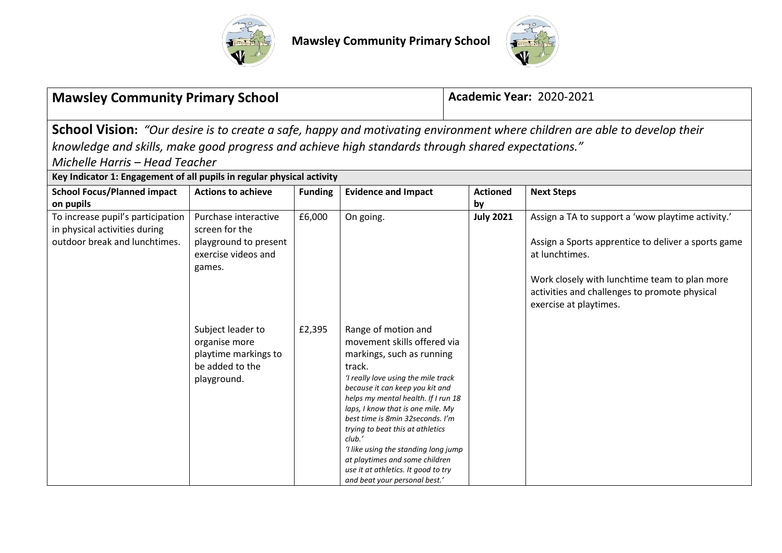



| <b>Mawsley Community Primary School</b>                                                                                                                                                                                                                                                                                                    |                                                                                                  |                |                                                                                                                                                                                                                                                                                                                                                                                                                                                                                     |                       | <b>Academic Year: 2020-2021</b>                                                                                                                                                                                                                        |  |  |  |
|--------------------------------------------------------------------------------------------------------------------------------------------------------------------------------------------------------------------------------------------------------------------------------------------------------------------------------------------|--------------------------------------------------------------------------------------------------|----------------|-------------------------------------------------------------------------------------------------------------------------------------------------------------------------------------------------------------------------------------------------------------------------------------------------------------------------------------------------------------------------------------------------------------------------------------------------------------------------------------|-----------------------|--------------------------------------------------------------------------------------------------------------------------------------------------------------------------------------------------------------------------------------------------------|--|--|--|
| School Vision: "Our desire is to create a safe, happy and motivating environment where children are able to develop their<br>knowledge and skills, make good progress and achieve high standards through shared expectations."<br>Michelle Harris - Head Teacher<br>Key Indicator 1: Engagement of all pupils in regular physical activity |                                                                                                  |                |                                                                                                                                                                                                                                                                                                                                                                                                                                                                                     |                       |                                                                                                                                                                                                                                                        |  |  |  |
| <b>School Focus/Planned impact</b><br>on pupils                                                                                                                                                                                                                                                                                            | <b>Actions to achieve</b>                                                                        | <b>Funding</b> | <b>Evidence and Impact</b>                                                                                                                                                                                                                                                                                                                                                                                                                                                          | <b>Actioned</b><br>by | <b>Next Steps</b>                                                                                                                                                                                                                                      |  |  |  |
| To increase pupil's participation<br>in physical activities during<br>outdoor break and lunchtimes.                                                                                                                                                                                                                                        | Purchase interactive<br>screen for the<br>playground to present<br>exercise videos and<br>games. | £6,000         | On going.                                                                                                                                                                                                                                                                                                                                                                                                                                                                           | <b>July 2021</b>      | Assign a TA to support a 'wow playtime activity.'<br>Assign a Sports apprentice to deliver a sports game<br>at lunchtimes.<br>Work closely with lunchtime team to plan more<br>activities and challenges to promote physical<br>exercise at playtimes. |  |  |  |
|                                                                                                                                                                                                                                                                                                                                            | Subject leader to<br>organise more<br>playtime markings to<br>be added to the<br>playground.     | £2,395         | Range of motion and<br>movement skills offered via<br>markings, such as running<br>track.<br>'I really love using the mile track<br>because it can keep you kit and<br>helps my mental health. If I run 18<br>laps, I know that is one mile. My<br>best time is 8min 32seconds. I'm<br>trying to beat this at athletics<br>club.'<br>'I like using the standing long jump<br>at playtimes and some children<br>use it at athletics. It good to try<br>and beat your personal best.' |                       |                                                                                                                                                                                                                                                        |  |  |  |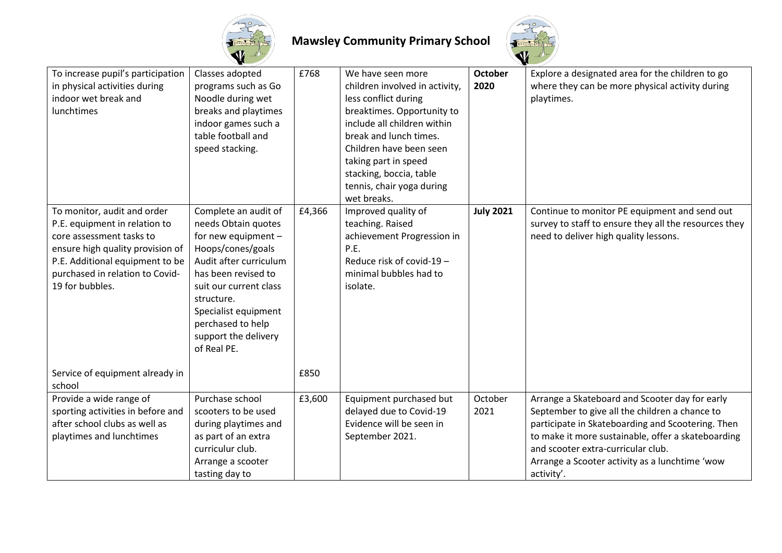



| To increase pupil's participation<br>in physical activities during<br>indoor wet break and<br>lunchtimes                                                                                                              | Classes adopted<br>programs such as Go<br>Noodle during wet<br>breaks and playtimes<br>indoor games such a<br>table football and<br>speed stacking.                                                                                                                  | £768   | We have seen more<br>children involved in activity,<br>less conflict during<br>breaktimes. Opportunity to<br>include all children within<br>break and lunch times.<br>Children have been seen<br>taking part in speed<br>stacking, boccia, table<br>tennis, chair yoga during<br>wet breaks. | <b>October</b><br>2020 | Explore a designated area for the children to go<br>where they can be more physical activity during<br>playtimes.                                                                                                                                                                                                 |
|-----------------------------------------------------------------------------------------------------------------------------------------------------------------------------------------------------------------------|----------------------------------------------------------------------------------------------------------------------------------------------------------------------------------------------------------------------------------------------------------------------|--------|----------------------------------------------------------------------------------------------------------------------------------------------------------------------------------------------------------------------------------------------------------------------------------------------|------------------------|-------------------------------------------------------------------------------------------------------------------------------------------------------------------------------------------------------------------------------------------------------------------------------------------------------------------|
| To monitor, audit and order<br>P.E. equipment in relation to<br>core assessment tasks to<br>ensure high quality provision of<br>P.E. Additional equipment to be<br>purchased in relation to Covid-<br>19 for bubbles. | Complete an audit of<br>needs Obtain quotes<br>for new equipment -<br>Hoops/cones/goals<br>Audit after curriculum<br>has been revised to<br>suit our current class<br>structure.<br>Specialist equipment<br>perchased to help<br>support the delivery<br>of Real PE. | £4,366 | Improved quality of<br>teaching. Raised<br>achievement Progression in<br>P.E.<br>Reduce risk of covid-19 -<br>minimal bubbles had to<br>isolate.                                                                                                                                             | <b>July 2021</b>       | Continue to monitor PE equipment and send out<br>survey to staff to ensure they all the resources they<br>need to deliver high quality lessons.                                                                                                                                                                   |
| Service of equipment already in<br>school                                                                                                                                                                             |                                                                                                                                                                                                                                                                      | £850   |                                                                                                                                                                                                                                                                                              |                        |                                                                                                                                                                                                                                                                                                                   |
| Provide a wide range of<br>sporting activities in before and<br>after school clubs as well as<br>playtimes and lunchtimes                                                                                             | Purchase school<br>scooters to be used<br>during playtimes and<br>as part of an extra<br>curriculur club.<br>Arrange a scooter<br>tasting day to                                                                                                                     | £3,600 | Equipment purchased but<br>delayed due to Covid-19<br>Evidence will be seen in<br>September 2021.                                                                                                                                                                                            | October<br>2021        | Arrange a Skateboard and Scooter day for early<br>September to give all the children a chance to<br>participate in Skateboarding and Scootering. Then<br>to make it more sustainable, offer a skateboarding<br>and scooter extra-curricular club.<br>Arrange a Scooter activity as a lunchtime 'wow<br>activity'. |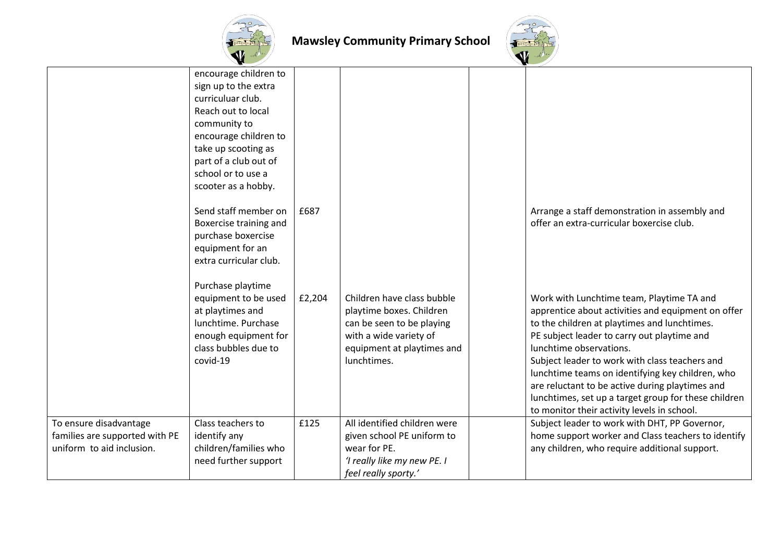



|                                                                                       | encourage children to<br>sign up to the extra<br>curriculuar club.<br>Reach out to local<br>community to<br>encourage children to<br>take up scooting as<br>part of a club out of<br>school or to use a<br>scooter as a hobby. |        |                                                                                                                                                            |                                                                                                                                                                                                                                                                                                                                                                                                                                                                                           |
|---------------------------------------------------------------------------------------|--------------------------------------------------------------------------------------------------------------------------------------------------------------------------------------------------------------------------------|--------|------------------------------------------------------------------------------------------------------------------------------------------------------------|-------------------------------------------------------------------------------------------------------------------------------------------------------------------------------------------------------------------------------------------------------------------------------------------------------------------------------------------------------------------------------------------------------------------------------------------------------------------------------------------|
|                                                                                       | Send staff member on<br>Boxercise training and<br>purchase boxercise<br>equipment for an<br>extra curricular club.                                                                                                             | £687   |                                                                                                                                                            | Arrange a staff demonstration in assembly and<br>offer an extra-curricular boxercise club.                                                                                                                                                                                                                                                                                                                                                                                                |
|                                                                                       | Purchase playtime<br>equipment to be used<br>at playtimes and<br>lunchtime. Purchase<br>enough equipment for<br>class bubbles due to<br>covid-19                                                                               | £2,204 | Children have class bubble<br>playtime boxes. Children<br>can be seen to be playing<br>with a wide variety of<br>equipment at playtimes and<br>lunchtimes. | Work with Lunchtime team, Playtime TA and<br>apprentice about activities and equipment on offer<br>to the children at playtimes and lunchtimes.<br>PE subject leader to carry out playtime and<br>lunchtime observations.<br>Subject leader to work with class teachers and<br>lunchtime teams on identifying key children, who<br>are reluctant to be active during playtimes and<br>lunchtimes, set up a target group for these children<br>to monitor their activity levels in school. |
| To ensure disadvantage<br>families are supported with PE<br>uniform to aid inclusion. | Class teachers to<br>identify any<br>children/families who<br>need further support                                                                                                                                             | £125   | All identified children were<br>given school PE uniform to<br>wear for PE.<br>'I really like my new PE. I<br>feel really sporty.'                          | Subject leader to work with DHT, PP Governor,<br>home support worker and Class teachers to identify<br>any children, who require additional support.                                                                                                                                                                                                                                                                                                                                      |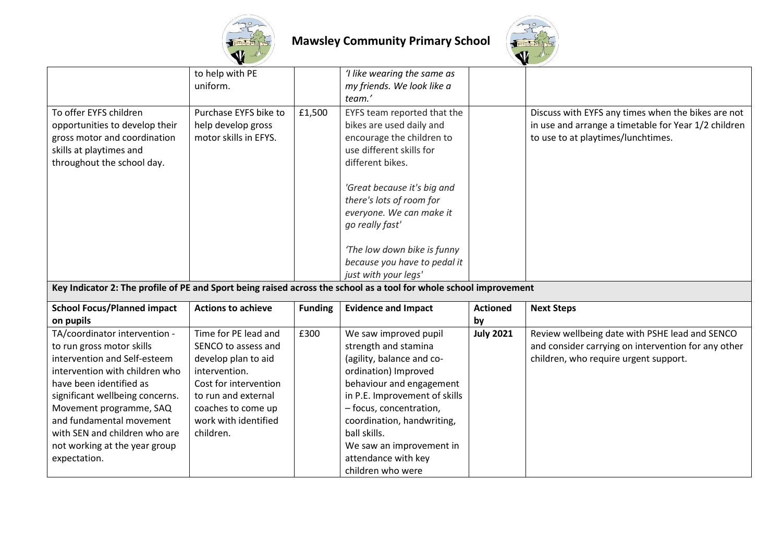



|                                                                                                                                                   | to help with PE<br>uniform.                                                         |                | 'I like wearing the same as<br>my friends. We look like a<br>team.'                                                                                                                                                                                                           |                  |                                                                                                                                                  |
|---------------------------------------------------------------------------------------------------------------------------------------------------|-------------------------------------------------------------------------------------|----------------|-------------------------------------------------------------------------------------------------------------------------------------------------------------------------------------------------------------------------------------------------------------------------------|------------------|--------------------------------------------------------------------------------------------------------------------------------------------------|
| To offer EYFS children<br>opportunities to develop their<br>gross motor and coordination<br>skills at playtimes and<br>throughout the school day. | Purchase EYFS bike to<br>help develop gross<br>motor skills in EFYS.                | £1,500         | EYFS team reported that the<br>bikes are used daily and<br>encourage the children to<br>use different skills for<br>different bikes.<br>'Great because it's big and<br>there's lots of room for<br>everyone. We can make it<br>go really fast'<br>'The low down bike is funny |                  | Discuss with EYFS any times when the bikes are not<br>in use and arrange a timetable for Year 1/2 children<br>to use to at playtimes/lunchtimes. |
|                                                                                                                                                   |                                                                                     |                | because you have to pedal it                                                                                                                                                                                                                                                  |                  |                                                                                                                                                  |
| Key Indicator 2: The profile of PE and Sport being raised across the school as a tool for whole school improvement                                |                                                                                     |                | just with your legs'                                                                                                                                                                                                                                                          |                  |                                                                                                                                                  |
| <b>School Focus/Planned impact</b>                                                                                                                | <b>Actions to achieve</b>                                                           | <b>Funding</b> | <b>Evidence and Impact</b>                                                                                                                                                                                                                                                    | <b>Actioned</b>  | <b>Next Steps</b>                                                                                                                                |
| on pupils                                                                                                                                         |                                                                                     |                |                                                                                                                                                                                                                                                                               | by               |                                                                                                                                                  |
| TA/coordinator intervention -<br>to run gross motor skills<br>intervention and Self-esteem<br>intervention with children who                      | Time for PE lead and<br>SENCO to assess and<br>develop plan to aid<br>intervention. | £300           | We saw improved pupil<br>strength and stamina<br>(agility, balance and co-<br>ordination) Improved                                                                                                                                                                            | <b>July 2021</b> | Review wellbeing date with PSHE lead and SENCO<br>and consider carrying on intervention for any other<br>children, who require urgent support.   |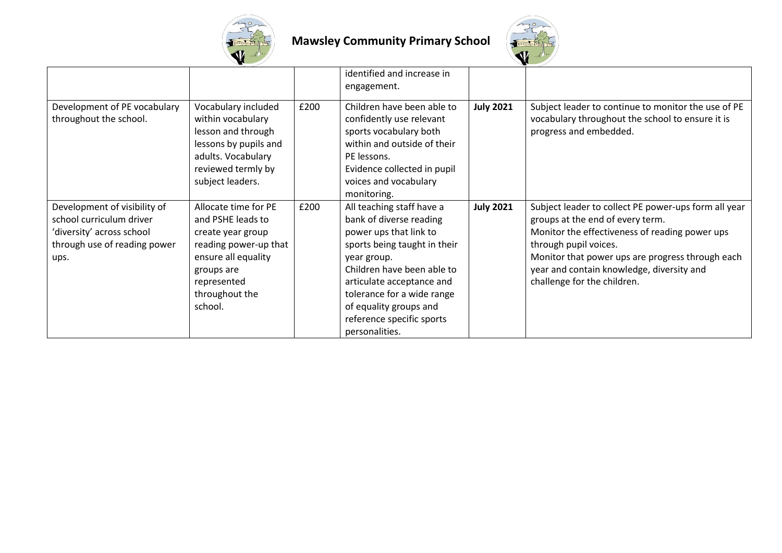



|                                                                                                                               |                                                                                                                                                                          |      | identified and increase in<br>engagement.                                                                                                                                                                                                                                                       |                  |                                                                                                                                                                                                                                                                                                     |
|-------------------------------------------------------------------------------------------------------------------------------|--------------------------------------------------------------------------------------------------------------------------------------------------------------------------|------|-------------------------------------------------------------------------------------------------------------------------------------------------------------------------------------------------------------------------------------------------------------------------------------------------|------------------|-----------------------------------------------------------------------------------------------------------------------------------------------------------------------------------------------------------------------------------------------------------------------------------------------------|
| Development of PE vocabulary<br>throughout the school.                                                                        | Vocabulary included<br>within vocabulary<br>lesson and through<br>lessons by pupils and<br>adults. Vocabulary<br>reviewed termly by<br>subject leaders.                  | £200 | Children have been able to<br>confidently use relevant<br>sports vocabulary both<br>within and outside of their<br>PE lessons.<br>Evidence collected in pupil<br>voices and vocabulary<br>monitoring.                                                                                           | <b>July 2021</b> | Subject leader to continue to monitor the use of PE<br>vocabulary throughout the school to ensure it is<br>progress and embedded.                                                                                                                                                                   |
| Development of visibility of<br>school curriculum driver<br>'diversity' across school<br>through use of reading power<br>ups. | Allocate time for PE<br>and PSHE leads to<br>create year group<br>reading power-up that<br>ensure all equality<br>groups are<br>represented<br>throughout the<br>school. | £200 | All teaching staff have a<br>bank of diverse reading<br>power ups that link to<br>sports being taught in their<br>year group.<br>Children have been able to<br>articulate acceptance and<br>tolerance for a wide range<br>of equality groups and<br>reference specific sports<br>personalities. | <b>July 2021</b> | Subject leader to collect PE power-ups form all year<br>groups at the end of every term.<br>Monitor the effectiveness of reading power ups<br>through pupil voices.<br>Monitor that power ups are progress through each<br>year and contain knowledge, diversity and<br>challenge for the children. |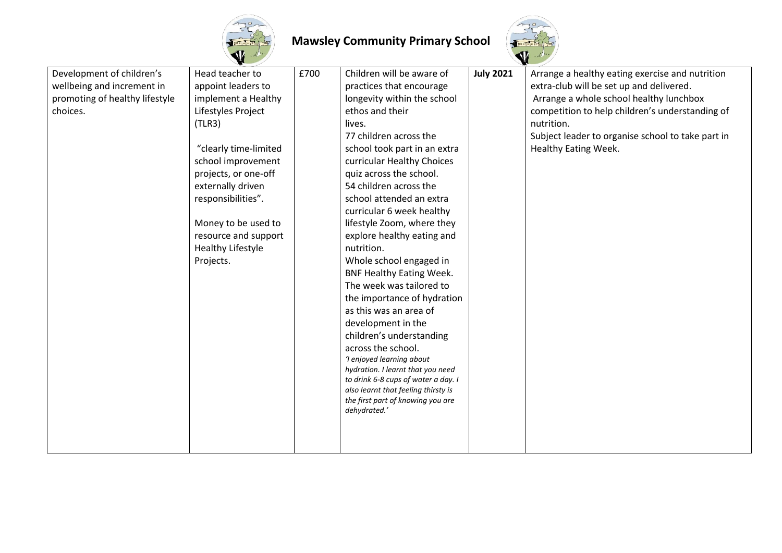



| Development of children's<br>wellbeing and increment in<br>promoting of healthy lifestyle<br>choices. | Head teacher to<br>appoint leaders to<br>implement a Healthy<br>Lifestyles Project<br>(TLR3)<br>"clearly time-limited<br>school improvement<br>projects, or one-off<br>externally driven<br>responsibilities".<br>Money to be used to<br>resource and support<br><b>Healthy Lifestyle</b><br>Projects. | £700 | Children will be aware of<br>practices that encourage<br>longevity within the school<br>ethos and their<br>lives.<br>77 children across the<br>school took part in an extra<br>curricular Healthy Choices<br>quiz across the school.<br>54 children across the<br>school attended an extra<br>curricular 6 week healthy<br>lifestyle Zoom, where they<br>explore healthy eating and<br>nutrition.<br>Whole school engaged in<br><b>BNF Healthy Eating Week.</b><br>The week was tailored to<br>the importance of hydration<br>as this was an area of<br>development in the<br>children's understanding<br>across the school.<br>'I enjoyed learning about<br>hydration. I learnt that you need<br>to drink 6-8 cups of water a day. I<br>also learnt that feeling thirsty is<br>the first part of knowing you are<br>dehydrated.' | <b>July 2021</b> | Arrange a healthy eating exercise and nutrition<br>extra-club will be set up and delivered.<br>Arrange a whole school healthy lunchbox<br>competition to help children's understanding of<br>nutrition.<br>Subject leader to organise school to take part in<br>Healthy Eating Week. |
|-------------------------------------------------------------------------------------------------------|--------------------------------------------------------------------------------------------------------------------------------------------------------------------------------------------------------------------------------------------------------------------------------------------------------|------|-----------------------------------------------------------------------------------------------------------------------------------------------------------------------------------------------------------------------------------------------------------------------------------------------------------------------------------------------------------------------------------------------------------------------------------------------------------------------------------------------------------------------------------------------------------------------------------------------------------------------------------------------------------------------------------------------------------------------------------------------------------------------------------------------------------------------------------|------------------|--------------------------------------------------------------------------------------------------------------------------------------------------------------------------------------------------------------------------------------------------------------------------------------|
|                                                                                                       |                                                                                                                                                                                                                                                                                                        |      |                                                                                                                                                                                                                                                                                                                                                                                                                                                                                                                                                                                                                                                                                                                                                                                                                                   |                  |                                                                                                                                                                                                                                                                                      |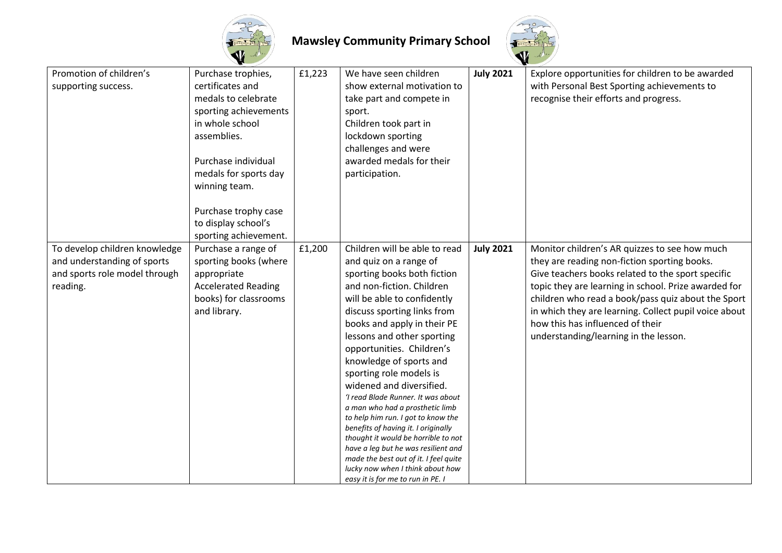



| Promotion of children's       | Purchase trophies,         | £1,223 | We have seen children                                                      | <b>July 2021</b> | Explore opportunities for children to be awarded      |
|-------------------------------|----------------------------|--------|----------------------------------------------------------------------------|------------------|-------------------------------------------------------|
| supporting success.           | certificates and           |        | show external motivation to                                                |                  | with Personal Best Sporting achievements to           |
|                               | medals to celebrate        |        | take part and compete in                                                   |                  | recognise their efforts and progress.                 |
|                               | sporting achievements      |        | sport.                                                                     |                  |                                                       |
|                               | in whole school            |        | Children took part in                                                      |                  |                                                       |
|                               | assemblies.                |        | lockdown sporting                                                          |                  |                                                       |
|                               |                            |        | challenges and were                                                        |                  |                                                       |
|                               | Purchase individual        |        | awarded medals for their                                                   |                  |                                                       |
|                               | medals for sports day      |        | participation.                                                             |                  |                                                       |
|                               | winning team.              |        |                                                                            |                  |                                                       |
|                               |                            |        |                                                                            |                  |                                                       |
|                               | Purchase trophy case       |        |                                                                            |                  |                                                       |
|                               | to display school's        |        |                                                                            |                  |                                                       |
|                               | sporting achievement.      |        |                                                                            |                  |                                                       |
| To develop children knowledge | Purchase a range of        | £1,200 | Children will be able to read                                              | <b>July 2021</b> | Monitor children's AR quizzes to see how much         |
| and understanding of sports   | sporting books (where      |        | and quiz on a range of                                                     |                  | they are reading non-fiction sporting books.          |
| and sports role model through | appropriate                |        | sporting books both fiction                                                |                  | Give teachers books related to the sport specific     |
| reading.                      | <b>Accelerated Reading</b> |        | and non-fiction. Children                                                  |                  | topic they are learning in school. Prize awarded for  |
|                               | books) for classrooms      |        | will be able to confidently                                                |                  | children who read a book/pass quiz about the Sport    |
|                               | and library.               |        | discuss sporting links from                                                |                  | in which they are learning. Collect pupil voice about |
|                               |                            |        | books and apply in their PE                                                |                  | how this has influenced of their                      |
|                               |                            |        | lessons and other sporting                                                 |                  | understanding/learning in the lesson.                 |
|                               |                            |        | opportunities. Children's                                                  |                  |                                                       |
|                               |                            |        | knowledge of sports and                                                    |                  |                                                       |
|                               |                            |        | sporting role models is                                                    |                  |                                                       |
|                               |                            |        | widened and diversified.                                                   |                  |                                                       |
|                               |                            |        | 'I read Blade Runner. It was about                                         |                  |                                                       |
|                               |                            |        | a man who had a prosthetic limb                                            |                  |                                                       |
|                               |                            |        | to help him run. I got to know the                                         |                  |                                                       |
|                               |                            |        | benefits of having it. I originally<br>thought it would be horrible to not |                  |                                                       |
|                               |                            |        | have a leg but he was resilient and                                        |                  |                                                       |
|                               |                            |        | made the best out of it. I feel quite                                      |                  |                                                       |
|                               |                            |        | lucky now when I think about how                                           |                  |                                                       |
|                               |                            |        | easy it is for me to run in PE. I                                          |                  |                                                       |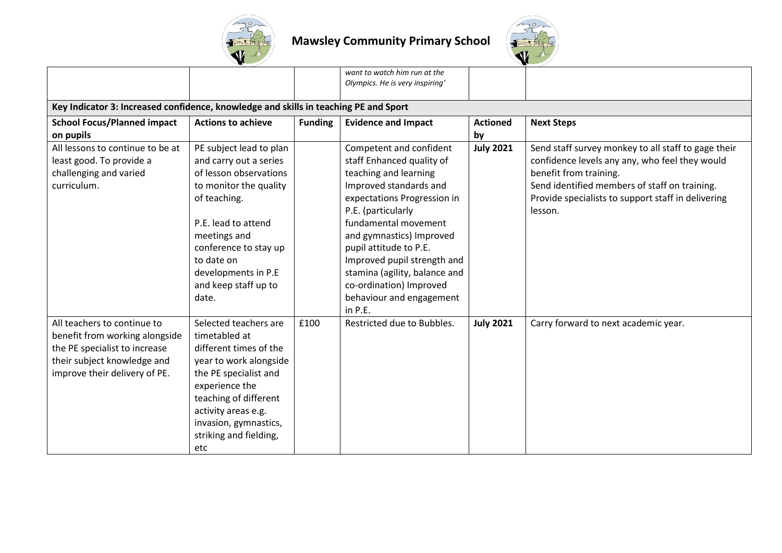



|                                                                                      |                           |                | want to watch him run at the<br>Olympics. He is very inspiring' |                  |                                                               |
|--------------------------------------------------------------------------------------|---------------------------|----------------|-----------------------------------------------------------------|------------------|---------------------------------------------------------------|
| Key Indicator 3: Increased confidence, knowledge and skills in teaching PE and Sport |                           |                |                                                                 |                  |                                                               |
| <b>School Focus/Planned impact</b>                                                   | <b>Actions to achieve</b> | <b>Funding</b> | <b>Evidence and Impact</b>                                      | <b>Actioned</b>  | <b>Next Steps</b>                                             |
| on pupils                                                                            |                           |                |                                                                 | by               |                                                               |
| All lessons to continue to be at                                                     | PE subject lead to plan   |                | Competent and confident                                         | <b>July 2021</b> | Send staff survey monkey to all staff to gage their           |
| least good. To provide a                                                             | and carry out a series    |                | staff Enhanced quality of                                       |                  | confidence levels any any, who feel they would                |
| challenging and varied                                                               | of lesson observations    |                | teaching and learning                                           |                  | benefit from training.                                        |
| curriculum.                                                                          | to monitor the quality    |                | Improved standards and                                          |                  | Send identified members of staff on training.                 |
|                                                                                      | of teaching.              |                | expectations Progression in<br>P.E. (particularly               |                  | Provide specialists to support staff in delivering<br>lesson. |
|                                                                                      | P.E. lead to attend       |                | fundamental movement                                            |                  |                                                               |
|                                                                                      | meetings and              |                | and gymnastics) Improved                                        |                  |                                                               |
|                                                                                      | conference to stay up     |                | pupil attitude to P.E.                                          |                  |                                                               |
|                                                                                      | to date on                |                | Improved pupil strength and                                     |                  |                                                               |
|                                                                                      | developments in P.E       |                | stamina (agility, balance and                                   |                  |                                                               |
|                                                                                      | and keep staff up to      |                | co-ordination) Improved                                         |                  |                                                               |
|                                                                                      | date.                     |                | behaviour and engagement                                        |                  |                                                               |
|                                                                                      |                           |                | in P.E.                                                         |                  |                                                               |
| All teachers to continue to                                                          | Selected teachers are     | £100           | Restricted due to Bubbles.                                      | <b>July 2021</b> | Carry forward to next academic year.                          |
| benefit from working alongside                                                       | timetabled at             |                |                                                                 |                  |                                                               |
| the PE specialist to increase                                                        | different times of the    |                |                                                                 |                  |                                                               |
| their subject knowledge and                                                          | year to work alongside    |                |                                                                 |                  |                                                               |
| improve their delivery of PE.                                                        | the PE specialist and     |                |                                                                 |                  |                                                               |
|                                                                                      | experience the            |                |                                                                 |                  |                                                               |
|                                                                                      | teaching of different     |                |                                                                 |                  |                                                               |
|                                                                                      | activity areas e.g.       |                |                                                                 |                  |                                                               |
|                                                                                      | invasion, gymnastics,     |                |                                                                 |                  |                                                               |
|                                                                                      | striking and fielding,    |                |                                                                 |                  |                                                               |
|                                                                                      | etc                       |                |                                                                 |                  |                                                               |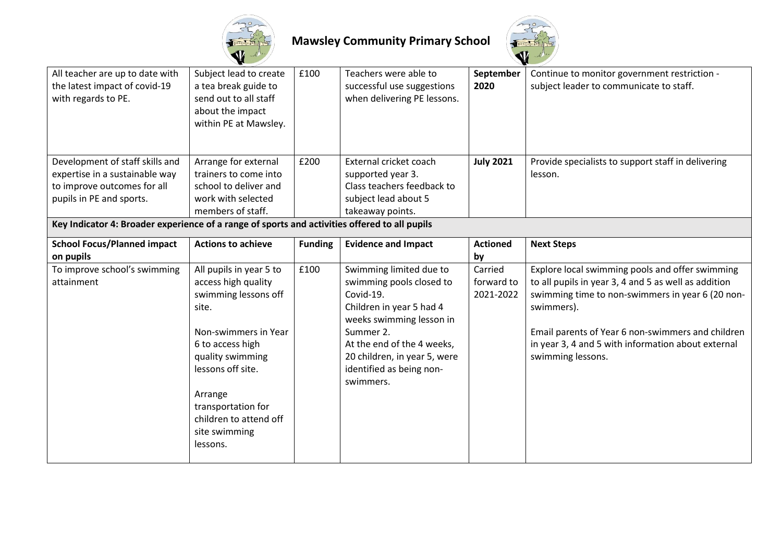



| All teacher are up to date with<br>the latest impact of covid-19<br>with regards to PE.                                                                                                                                       | Subject lead to create<br>a tea break guide to<br>send out to all staff<br>about the impact<br>within PE at Mawsley.                                                                                                                                         | £100           | Teachers were able to<br>successful use suggestions<br>when delivering PE lessons.                                                                                                                                                           | September<br>2020                  | Continue to monitor government restriction -<br>subject leader to communicate to staff.                                                                                                                                                                                                                   |
|-------------------------------------------------------------------------------------------------------------------------------------------------------------------------------------------------------------------------------|--------------------------------------------------------------------------------------------------------------------------------------------------------------------------------------------------------------------------------------------------------------|----------------|----------------------------------------------------------------------------------------------------------------------------------------------------------------------------------------------------------------------------------------------|------------------------------------|-----------------------------------------------------------------------------------------------------------------------------------------------------------------------------------------------------------------------------------------------------------------------------------------------------------|
| Development of staff skills and<br>expertise in a sustainable way<br>to improve outcomes for all<br>pupils in PE and sports.<br>Key Indicator 4: Broader experience of a range of sports and activities offered to all pupils | Arrange for external<br>trainers to come into<br>school to deliver and<br>work with selected<br>members of staff.                                                                                                                                            | £200           | External cricket coach<br>supported year 3.<br>Class teachers feedback to<br>subject lead about 5<br>takeaway points.                                                                                                                        | <b>July 2021</b>                   | Provide specialists to support staff in delivering<br>lesson.                                                                                                                                                                                                                                             |
| <b>School Focus/Planned impact</b><br>on pupils                                                                                                                                                                               | <b>Actions to achieve</b>                                                                                                                                                                                                                                    | <b>Funding</b> | <b>Evidence and Impact</b>                                                                                                                                                                                                                   | <b>Actioned</b><br>by              | <b>Next Steps</b>                                                                                                                                                                                                                                                                                         |
| To improve school's swimming<br>attainment                                                                                                                                                                                    | All pupils in year 5 to<br>access high quality<br>swimming lessons off<br>site.<br>Non-swimmers in Year<br>6 to access high<br>quality swimming<br>lessons off site.<br>Arrange<br>transportation for<br>children to attend off<br>site swimming<br>lessons. | £100           | Swimming limited due to<br>swimming pools closed to<br>Covid-19.<br>Children in year 5 had 4<br>weeks swimming lesson in<br>Summer 2.<br>At the end of the 4 weeks,<br>20 children, in year 5, were<br>identified as being non-<br>swimmers. | Carried<br>forward to<br>2021-2022 | Explore local swimming pools and offer swimming<br>to all pupils in year 3, 4 and 5 as well as addition<br>swimming time to non-swimmers in year 6 (20 non-<br>swimmers).<br>Email parents of Year 6 non-swimmers and children<br>in year 3, 4 and 5 with information about external<br>swimming lessons. |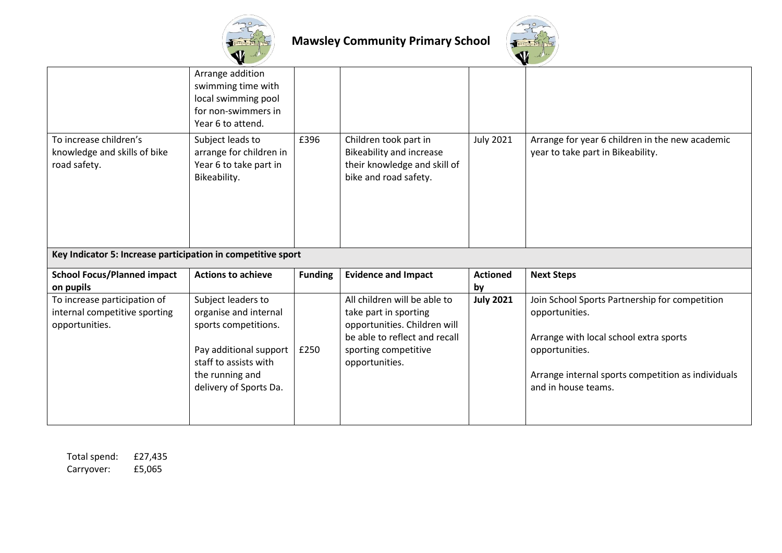



|                                                                                 | Arrange addition<br>swimming time with<br>local swimming pool<br>for non-swimmers in<br>Year 6 to attend. |                |                                                                                                                                                                  |                       |                                                                                                                              |
|---------------------------------------------------------------------------------|-----------------------------------------------------------------------------------------------------------|----------------|------------------------------------------------------------------------------------------------------------------------------------------------------------------|-----------------------|------------------------------------------------------------------------------------------------------------------------------|
| To increase children's<br>knowledge and skills of bike<br>road safety.          | Subject leads to<br>arrange for children in<br>Year 6 to take part in<br>Bikeability.                     | £396           | Children took part in<br><b>Bikeability and increase</b><br>their knowledge and skill of<br>bike and road safety.                                                | <b>July 2021</b>      | Arrange for year 6 children in the new academic<br>year to take part in Bikeability.                                         |
| Key Indicator 5: Increase participation in competitive sport                    |                                                                                                           |                |                                                                                                                                                                  |                       |                                                                                                                              |
| <b>School Focus/Planned impact</b><br>on pupils                                 | <b>Actions to achieve</b>                                                                                 | <b>Funding</b> | <b>Evidence and Impact</b>                                                                                                                                       | <b>Actioned</b><br>by | <b>Next Steps</b>                                                                                                            |
| To increase participation of<br>internal competitive sporting<br>opportunities. | Subject leaders to<br>organise and internal<br>sports competitions.<br>Pay additional support             | £250           | All children will be able to<br>take part in sporting<br>opportunities. Children will<br>be able to reflect and recall<br>sporting competitive<br>opportunities. | <b>July 2021</b>      | Join School Sports Partnership for competition<br>opportunities.<br>Arrange with local school extra sports<br>opportunities. |

Total spend: £27,435<br>Carryover: £5,065 Carryover: